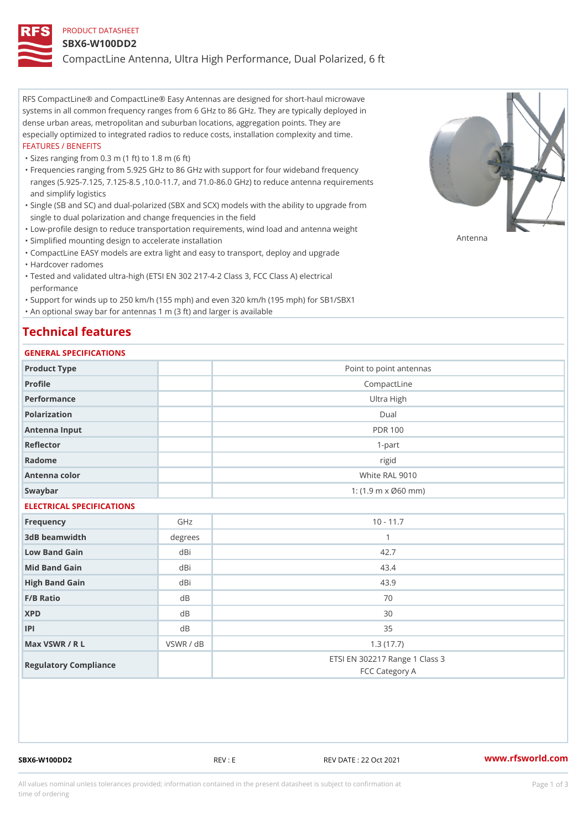#### PRODUCT DATASHEET

#### SBX6-W100DD2

CompactLine Antenna, Ultra High Performance, Dual Polarized, 6 ft

RFS CompactLine® and CompactLine® Easy Antennas are designed for short-haul microwave systems in all common frequency ranges from 6 GHz to 86 GHz. They are typically deployed in dense urban areas, metropolitan and suburban locations, aggregation points. They are especially optimized to integrated radios to reduce costs, installation complexity and time. FEATURES / BENEFITS

"Sizes ranging from 0.3 m (1 ft) to 1.8 m (6 ft)

- Frequencies ranging from 5.925 GHz to 86 GHz with support for four wideband frequency " ranges (5.925-7.125, 7.125-8.5 ,10.0-11.7, and 71.0-86.0 GHz) to reduce antenna requirements and simplify logistics
- Single (SB and SC) and dual-polarized (SBX and SCX) models with the ability to upgrade from " single to dual polarization and change frequencies in the field
- "Low-profile design to reduce transportation requirements, wind load and antenna weight
- "Simplified mounting design to accelerate installation

 "CompactLine EASY models are extra light and easy to transport, deploy and upgrade "Hardcover radomes

Tested and validated ultra-high (ETSI EN 302 217-4-2 Class 3, FCC Class A) electrical " performance

 "Support for winds up to 250 km/h (155 mph) and even 320 km/h (195 mph) for SB1/SBX1 "An optional sway bar for antennas 1 m (3 ft) and larger is available

## Technical features

## GENERAL SPECIFICATIONS

| GENERAL SPECIFICATIONS    |                |                                                         |  |  |  |
|---------------------------|----------------|---------------------------------------------------------|--|--|--|
| Product Type              |                | Point to point antennas                                 |  |  |  |
| Profile                   |                | CompactLine                                             |  |  |  |
| Performance               |                | Ultra High                                              |  |  |  |
| Polarization              |                | $D$ ual                                                 |  |  |  |
| Antenna Input             |                | <b>PDR 100</b>                                          |  |  |  |
| Reflector                 |                | $1 - p$ art                                             |  |  |  |
| Radome                    |                | rigid                                                   |  |  |  |
| Antenna color             |                | White RAL 9010                                          |  |  |  |
| Swaybar                   |                | 1: $(1.9 \, \text{m} \times \emptyset 60 \, \text{mm})$ |  |  |  |
| ELECTRICAL SPECIFICATIONS |                |                                                         |  |  |  |
| Frequency                 | GHz            | $10 - 11.7$                                             |  |  |  |
| 3dB beamwidth             | degrees        | $\mathbf{1}$                                            |  |  |  |
| Low Band Gain             | dBi            | 42.7                                                    |  |  |  |
| Mid Band Gain             | dBi            | 43.4                                                    |  |  |  |
| High Band Gain            | dBi            | 43.9                                                    |  |  |  |
| F/B Ratio                 | d <sub>B</sub> | 70                                                      |  |  |  |
| <b>XPD</b>                | d B            | 30                                                      |  |  |  |
| P                         | d B            | 35                                                      |  |  |  |
| Max VSWR / R L            | VSWR / dB      | 1.3(17.7)                                               |  |  |  |
| Regulatory Compliance     |                | ETSI EN 302217 Range 1 Class 3<br>FCC Category A        |  |  |  |

SBX6-W100DD2 REV : E REV DATE : 22 Oct 2021 [www.](https://www.rfsworld.com)rfsworld.com

Antenna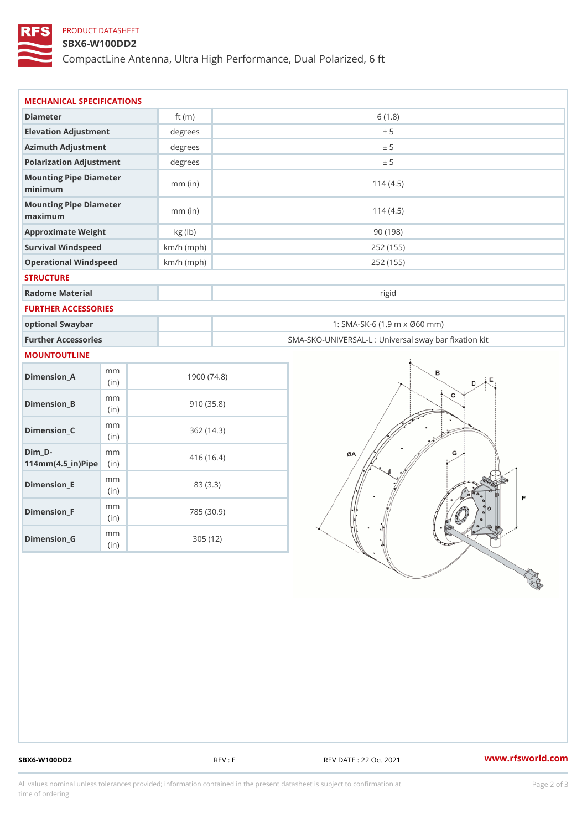## PRODUCT DATASHEET

### SBX6-W100DD2

CompactLine Antenna, Ultra High Performance, Dual Polarized, 6 ft

| MECHANICAL SPECIFICATIONS                                                      |                    |                                                   |
|--------------------------------------------------------------------------------|--------------------|---------------------------------------------------|
| Diameter                                                                       |                    |                                                   |
| Elevation Adjustment                                                           | ft $(m)$           | 6(1.8)<br>± 5                                     |
| Azimuth Adjustment                                                             | degrees<br>degrees | ± 5                                               |
| Polarization Adjustment                                                        | degrees            | ± 5                                               |
| Mounting Pipe Diameter                                                         |                    |                                                   |
| minimum                                                                        | $mm$ (in)          | 114(4.5)                                          |
| Mounting Pipe Diameter<br>maximum                                              | $mm$ (in)          | 114(4.5)                                          |
| Approximate Weight                                                             | kg (lb)            | 90(198)                                           |
| Survival Windspeed                                                             | $km/h$ (mph)       | 252 (155)                                         |
| Operational Windspeed                                                          | $km/h$ (mph)       | 252 (155)                                         |
| <b>STRUCTURE</b>                                                               |                    |                                                   |
| Radome Material                                                                |                    | rigid                                             |
| FURTHER ACCESSORIES                                                            |                    |                                                   |
| optional Swaybar                                                               |                    | 1: SMA-SK-6 (1.9 m x Ø60 mm)                      |
| Further Accessories                                                            |                    | SMA-SKO-UNIVERSAL-L : Universal sway bar fixation |
| MOUNTOUTLINE                                                                   |                    |                                                   |
| m m<br>$Dimen sion_A$<br>(in)                                                  |                    | 1900(74.8)                                        |
| m m<br>$Dimension_B$<br>(in)                                                   |                    | 910(35.8)                                         |
| m m<br>$Dimension_C$<br>(in)                                                   |                    | 362(14.3)                                         |
| $Dim_D - D -$<br>m m<br>$114$ m m (4.5 _ ir ) $\sqrt{$ ii p $\sqrt{$ $\approx$ |                    | 416 (16.4)                                        |
| m m<br>$Dimension$ _ $E$<br>(in)                                               |                    | 83 (3.3)                                          |
| m m<br>$Dimension_F$<br>(in)                                                   |                    | 785 (30.9)                                        |
| $\mathsf m$ $\mathsf m$<br>$D$ imension $_G$<br>(in)                           |                    | 305 (12)                                          |

SBX6-W100DD2 REV : E REV DATE : 22 Oct 2021 WWW.rfsworld.com